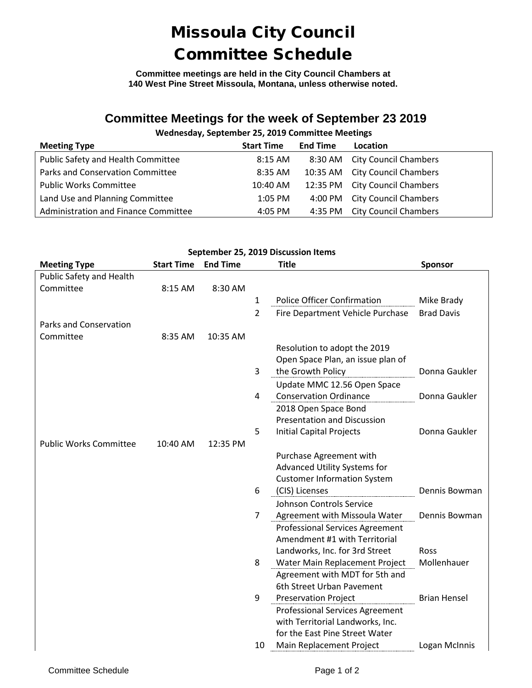# Missoula City Council Committee Schedule

**Committee meetings are held in the City Council Chambers at 140 West Pine Street Missoula, Montana, unless otherwise noted.**

### **Committee Meetings for the week of September 23 2019**

### **Wednesday, September 25, 2019 Committee Meetings**

| <b>Meeting Type</b>                  | <b>Start Time</b> | <b>End Time</b> | Location                       |
|--------------------------------------|-------------------|-----------------|--------------------------------|
| Public Safety and Health Committee   | 8:15 AM           |                 | 8:30 AM City Council Chambers  |
| Parks and Conservation Committee     | 8:35 AM           |                 | 10:35 AM City Council Chambers |
| <b>Public Works Committee</b>        | 10:40 AM          |                 | 12:35 PM City Council Chambers |
| Land Use and Planning Committee      | $1:05$ PM         |                 | 4:00 PM City Council Chambers  |
| Administration and Finance Committee | 4:05 PM           | 4:35 PM         | <b>City Council Chambers</b>   |

#### **September 25, 2019 Discussion Items**

| <b>Meeting Type</b>           | <b>Start Time</b> | <b>End Time</b> |                | <b>Title</b>                                                            | Sponsor             |
|-------------------------------|-------------------|-----------------|----------------|-------------------------------------------------------------------------|---------------------|
| Public Safety and Health      |                   |                 |                |                                                                         |                     |
| Committee                     | 8:15 AM           | 8:30 AM         |                |                                                                         |                     |
|                               |                   |                 | $\mathbf{1}$   | <b>Police Officer Confirmation</b>                                      | Mike Brady          |
|                               |                   |                 | $\overline{2}$ | Fire Department Vehicle Purchase                                        | <b>Brad Davis</b>   |
| <b>Parks and Conservation</b> |                   |                 |                |                                                                         |                     |
| Committee                     | 8:35 AM           | 10:35 AM        |                |                                                                         |                     |
|                               |                   |                 |                | Resolution to adopt the 2019                                            |                     |
|                               |                   |                 |                | Open Space Plan, an issue plan of                                       |                     |
|                               |                   |                 | 3              | the Growth Policy                                                       | Donna Gaukler       |
|                               |                   |                 |                | Update MMC 12.56 Open Space                                             |                     |
|                               |                   |                 | 4              | <b>Conservation Ordinance</b>                                           | Donna Gaukler       |
|                               |                   |                 |                | 2018 Open Space Bond                                                    |                     |
|                               |                   |                 |                | <b>Presentation and Discussion</b>                                      |                     |
|                               |                   |                 | 5              | <b>Initial Capital Projects</b>                                         | Donna Gaukler       |
| <b>Public Works Committee</b> | 10:40 AM          | 12:35 PM        |                |                                                                         |                     |
|                               |                   |                 |                | Purchase Agreement with                                                 |                     |
|                               |                   |                 |                | Advanced Utility Systems for                                            |                     |
|                               |                   |                 |                | <b>Customer Information System</b>                                      |                     |
|                               |                   |                 | 6              | (CIS) Licenses                                                          | Dennis Bowman       |
|                               |                   |                 |                | Johnson Controls Service                                                |                     |
|                               |                   |                 | 7              | Agreement with Missoula Water                                           | Dennis Bowman       |
|                               |                   |                 |                | <b>Professional Services Agreement</b><br>Amendment #1 with Territorial |                     |
|                               |                   |                 |                | Landworks, Inc. for 3rd Street                                          | Ross                |
|                               |                   |                 | 8              | Water Main Replacement Project                                          | Mollenhauer         |
|                               |                   |                 |                | Agreement with MDT for 5th and                                          |                     |
|                               |                   |                 |                | 6th Street Urban Pavement                                               |                     |
|                               |                   |                 | 9              | <b>Preservation Project</b>                                             | <b>Brian Hensel</b> |
|                               |                   |                 |                | <b>Professional Services Agreement</b>                                  |                     |
|                               |                   |                 |                | with Territorial Landworks, Inc.                                        |                     |
|                               |                   |                 |                | for the East Pine Street Water                                          |                     |
|                               |                   |                 | 10             | Main Replacement Project                                                | Logan McInnis       |
|                               |                   |                 |                |                                                                         |                     |